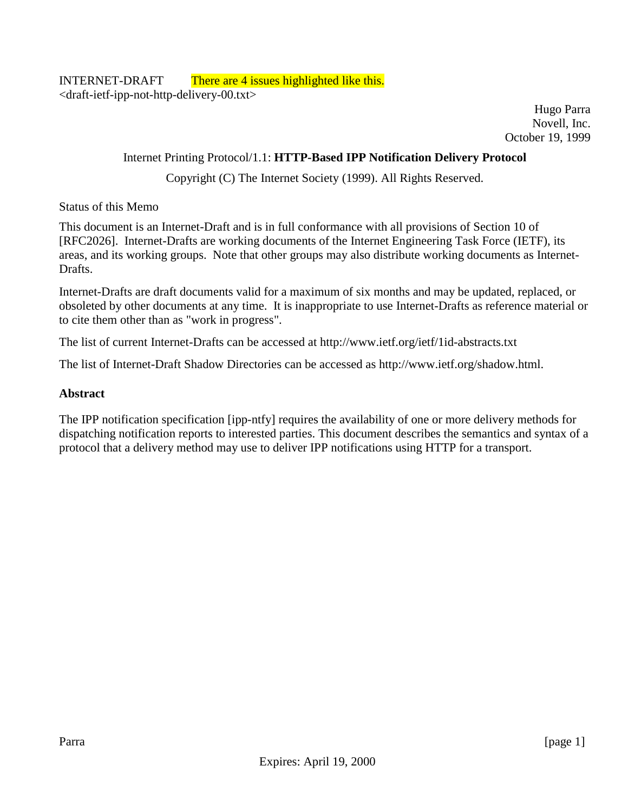Hugo Parra Novell, Inc. October 19, 1999

#### Internet Printing Protocol/1.1: **HTTP-Based IPP Notification Delivery Protocol**

Copyright (C) The Internet Society (1999). All Rights Reserved.

#### Status of this Memo

This document is an Internet-Draft and is in full conformance with all provisions of Section 10 of [RFC2026]. Internet-Drafts are working documents of the Internet Engineering Task Force (IETF), its areas, and its working groups. Note that other groups may also distribute working documents as Internet-Drafts.

Internet-Drafts are draft documents valid for a maximum of six months and may be updated, replaced, or obsoleted by other documents at any time. It is inappropriate to use Internet-Drafts as reference material or to cite them other than as "work in progress".

The list of current Internet-Drafts can be accessed at http://www.ietf.org/ietf/1id-abstracts.txt

The list of Internet-Draft Shadow Directories can be accessed as http://www.ietf.org/shadow.html.

#### **Abstract**

The IPP notification specification [ipp-ntfy] requires the availability of one or more delivery methods for dispatching notification reports to interested parties. This document describes the semantics and syntax of a protocol that a delivery method may use to deliver IPP notifications using HTTP for a transport.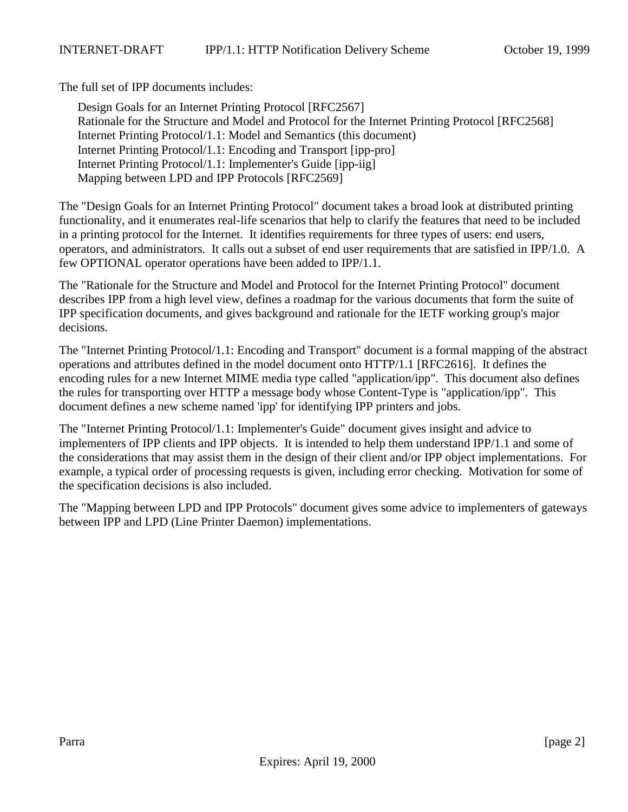The full set of IPP documents includes:

Design Goals for an Internet Printing Protocol [RFC2567] Rationale for the Structure and Model and Protocol for the Internet Printing Protocol [RFC2568] Internet Printing Protocol/1.1: Model and Semantics (this document) Internet Printing Protocol/1.1: Encoding and Transport [ipp-pro] Internet Printing Protocol/1.1: Implementer's Guide [ipp-iig] Mapping between LPD and IPP Protocols [RFC2569]

The "Design Goals for an Internet Printing Protocol" document takes a broad look at distributed printing functionality, and it enumerates real-life scenarios that help to clarify the features that need to be included in a printing protocol for the Internet. It identifies requirements for three types of users: end users, operators, and administrators. It calls out a subset of end user requirements that are satisfied in IPP/1.0. A few OPTIONAL operator operations have been added to IPP/1.1.

The "Rationale for the Structure and Model and Protocol for the Internet Printing Protocol" document describes IPP from a high level view, defines a roadmap for the various documents that form the suite of IPP specification documents, and gives background and rationale for the IETF working group's major decisions.

The "Internet Printing Protocol/1.1: Encoding and Transport" document is a formal mapping of the abstract operations and attributes defined in the model document onto HTTP/1.1 [RFC2616]. It defines the encoding rules for a new Internet MIME media type called "application/ipp". This document also defines the rules for transporting over HTTP a message body whose Content-Type is "application/ipp". This document defines a new scheme named 'ipp' for identifying IPP printers and jobs.

The "Internet Printing Protocol/1.1: Implementer's Guide" document gives insight and advice to implementers of IPP clients and IPP objects. It is intended to help them understand IPP/1.1 and some of the considerations that may assist them in the design of their client and/or IPP object implementations. For example, a typical order of processing requests is given, including error checking. Motivation for some of the specification decisions is also included.

The "Mapping between LPD and IPP Protocols" document gives some advice to implementers of gateways between IPP and LPD (Line Printer Daemon) implementations.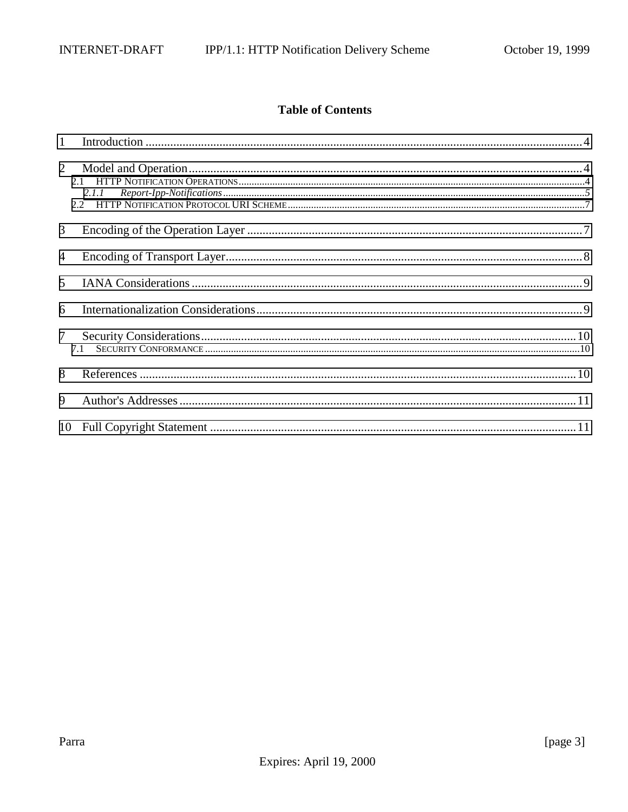### **Table of Contents**

|                | 2.1.1 |  |
|----------------|-------|--|
| 3              |       |  |
| $\overline{4}$ |       |  |
| $\mathfrak{H}$ |       |  |
| 6              |       |  |
| 7 <sup>7</sup> | 7.1   |  |
| 8              |       |  |
| 9              |       |  |
|                |       |  |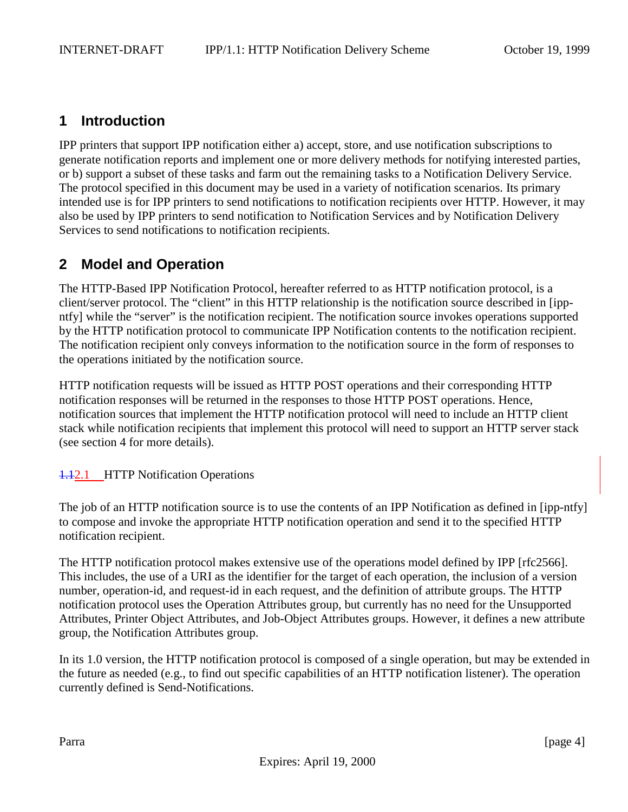# <span id="page-3-0"></span>**1 Introduction**

IPP printers that support IPP notification either a) accept, store, and use notification subscriptions to generate notification reports and implement one or more delivery methods for notifying interested parties, or b) support a subset of these tasks and farm out the remaining tasks to a Notification Delivery Service. The protocol specified in this document may be used in a variety of notification scenarios. Its primary intended use is for IPP printers to send notifications to notification recipients over HTTP. However, it may also be used by IPP printers to send notification to Notification Services and by Notification Delivery Services to send notifications to notification recipients.

# **2 Model and Operation**

The HTTP-Based IPP Notification Protocol, hereafter referred to as HTTP notification protocol, is a client/server protocol. The "client" in this HTTP relationship is the notification source described in [ippntfy] while the "server" is the notification recipient. The notification source invokes operations supported by the HTTP notification protocol to communicate IPP Notification contents to the notification recipient. The notification recipient only conveys information to the notification source in the form of responses to the operations initiated by the notification source.

HTTP notification requests will be issued as HTTP POST operations and their corresponding HTTP notification responses will be returned in the responses to those HTTP POST operations. Hence, notification sources that implement the HTTP notification protocol will need to include an HTTP client stack while notification recipients that implement this protocol will need to support an HTTP server stack (see section 4 for more details).

#### **1.12.1** HTTP Notification Operations

The job of an HTTP notification source is to use the contents of an IPP Notification as defined in [ipp-ntfy] to compose and invoke the appropriate HTTP notification operation and send it to the specified HTTP notification recipient.

The HTTP notification protocol makes extensive use of the operations model defined by IPP [rfc2566]. This includes, the use of a URI as the identifier for the target of each operation, the inclusion of a version number, operation-id, and request-id in each request, and the definition of attribute groups. The HTTP notification protocol uses the Operation Attributes group, but currently has no need for the Unsupported Attributes, Printer Object Attributes, and Job-Object Attributes groups. However, it defines a new attribute group, the Notification Attributes group.

In its 1.0 version, the HTTP notification protocol is composed of a single operation, but may be extended in the future as needed (e.g., to find out specific capabilities of an HTTP notification listener). The operation currently defined is Send-Notifications.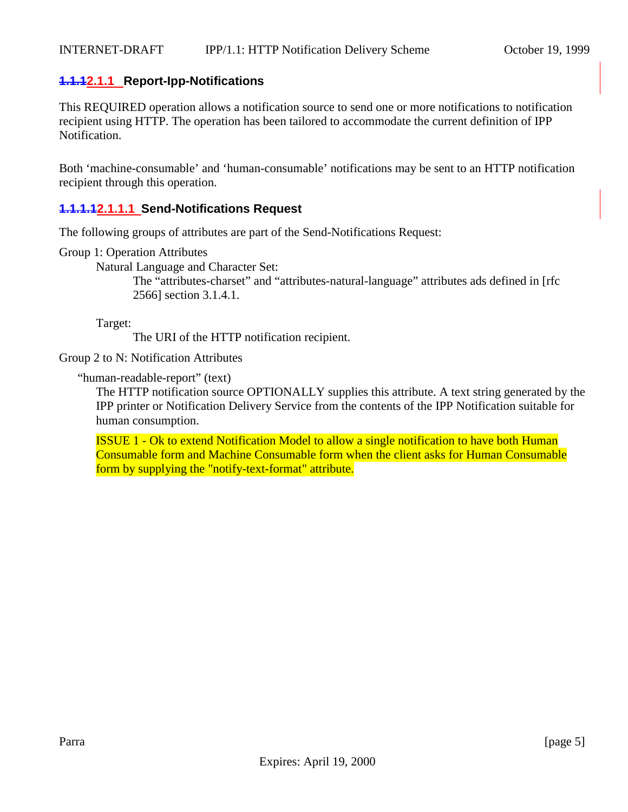#### <span id="page-4-0"></span>**1.1.12.1.1 Report-Ipp-Notifications**

This REQUIRED operation allows a notification source to send one or more notifications to notification recipient using HTTP. The operation has been tailored to accommodate the current definition of IPP Notification.

Both 'machine-consumable' and 'human-consumable' notifications may be sent to an HTTP notification recipient through this operation.

#### **1.1.1.12.1.1.1 Send-Notifications Request**

The following groups of attributes are part of the Send-Notifications Request:

Group 1: Operation Attributes

Natural Language and Character Set:

The "attributes-charset" and "attributes-natural-language" attributes ads defined in [rfc 2566] section 3.1.4.1.

Target:

The URI of the HTTP notification recipient.

Group 2 to N: Notification Attributes

"human-readable-report" (text)

The HTTP notification source OPTIONALLY supplies this attribute. A text string generated by the IPP printer or Notification Delivery Service from the contents of the IPP Notification suitable for human consumption.

ISSUE 1 - Ok to extend Notification Model to allow a single notification to have both Human Consumable form and Machine Consumable form when the client asks for Human Consumable form by supplying the "notify-text-format" attribute.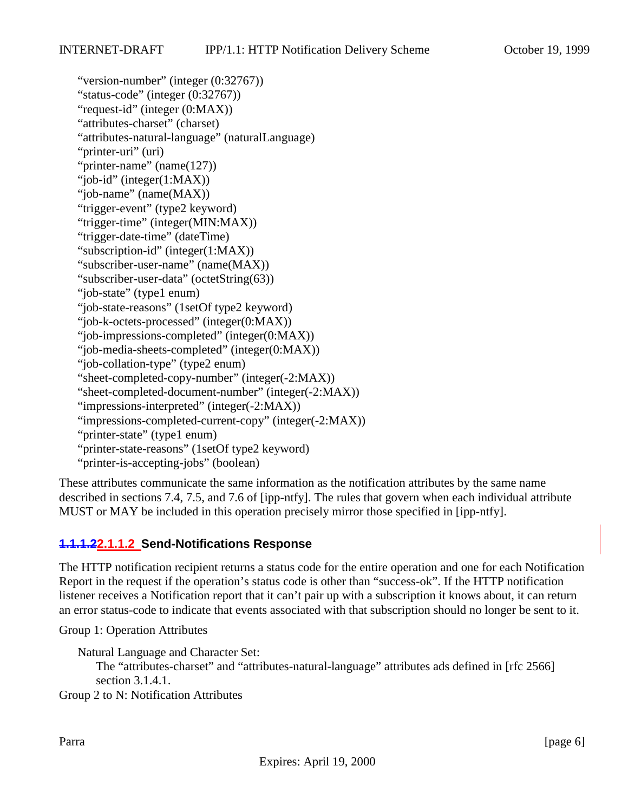"version-number" (integer (0:32767)) "status-code" (integer (0:32767)) "request-id" (integer (0:MAX)) "attributes-charset" (charset) "attributes-natural-language" (naturalLanguage) "printer-uri" (uri) "printer-name" (name(127)) "job-id" (integer(1:MAX)) "job-name" (name(MAX)) "trigger-event" (type2 keyword) "trigger-time" (integer(MIN:MAX)) "trigger-date-time" (dateTime) "subscription-id" (integer(1:MAX)) "subscriber-user-name" (name(MAX)) "subscriber-user-data" (octetString(63)) "job-state" (type1 enum) "job-state-reasons" (1setOf type2 keyword) "job-k-octets-processed" (integer(0:MAX)) "job-impressions-completed" (integer(0:MAX)) "job-media-sheets-completed" (integer(0:MAX)) "job-collation-type" (type2 enum) "sheet-completed-copy-number" (integer(-2:MAX)) "sheet-completed-document-number" (integer(-2:MAX)) "impressions-interpreted" (integer(-2:MAX)) "impressions-completed-current-copy" (integer(-2:MAX)) "printer-state" (type1 enum) "printer-state-reasons" (1setOf type2 keyword) "printer-is-accepting-jobs" (boolean)

These attributes communicate the same information as the notification attributes by the same name described in sections 7.4, 7.5, and 7.6 of [ipp-ntfy]. The rules that govern when each individual attribute MUST or MAY be included in this operation precisely mirror those specified in [ipp-ntfy].

### **1.1.1.22.1.1.2 Send-Notifications Response**

The HTTP notification recipient returns a status code for the entire operation and one for each Notification Report in the request if the operation's status code is other than "success-ok". If the HTTP notification listener receives a Notification report that it can't pair up with a subscription it knows about, it can return an error status-code to indicate that events associated with that subscription should no longer be sent to it.

Group 1: Operation Attributes

Natural Language and Character Set:

The "attributes-charset" and "attributes-natural-language" attributes ads defined in [rfc 2566] section 3.1.4.1.

Group 2 to N: Notification Attributes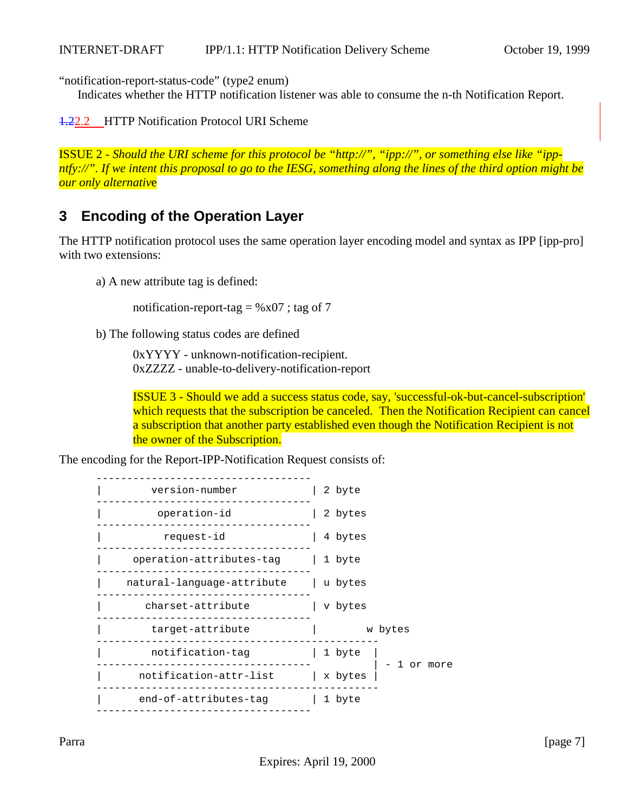<span id="page-6-0"></span>"notification-report-status-code" (type2 enum)

Indicates whether the HTTP notification listener was able to consume the n-th Notification Report.

1.22.2 HTTP Notification Protocol URI Scheme

ISSUE 2 - *Should the URI scheme for this protocol be "http://", "ipp://", or something else like "ippntfy://". If we intent this proposal to go to the IESG, something along the lines of the third option might be our only alternativ*e

# **3 Encoding of the Operation Layer**

The HTTP notification protocol uses the same operation layer encoding model and syntax as IPP [ipp-pro] with two extensions:

a) A new attribute tag is defined:

notification-report-tag =  $%x07$ ; tag of 7

b) The following status codes are defined

0xYYYY - unknown-notification-recipient. 0xZZZZ - unable-to-delivery-notification-report

ISSUE 3 - Should we add a success status code, say, 'successful-ok-but-cancel-subscription' which requests that the subscription be canceled. Then the Notification Recipient can cancel a subscription that another party established even though the Notification Recipient is not the owner of the Subscription.

The encoding for the Report-IPP-Notification Request consists of:

| version-number                       | 2 byte                |
|--------------------------------------|-----------------------|
| operation-id                         | 2 bytes               |
| request-id                           | 4 bytes               |
| operation-attributes-tag   1 byte    |                       |
| natural-language-attribute   u bytes |                       |
| charset-attribute                    | v bytes               |
| target-attribute                     | w bytes               |
| notification-tag                     | 1 byte<br>- 1 or more |
| notification-attr-list               | x bytes               |
| end-of-attributes-tag                | 1 byte                |
|                                      |                       |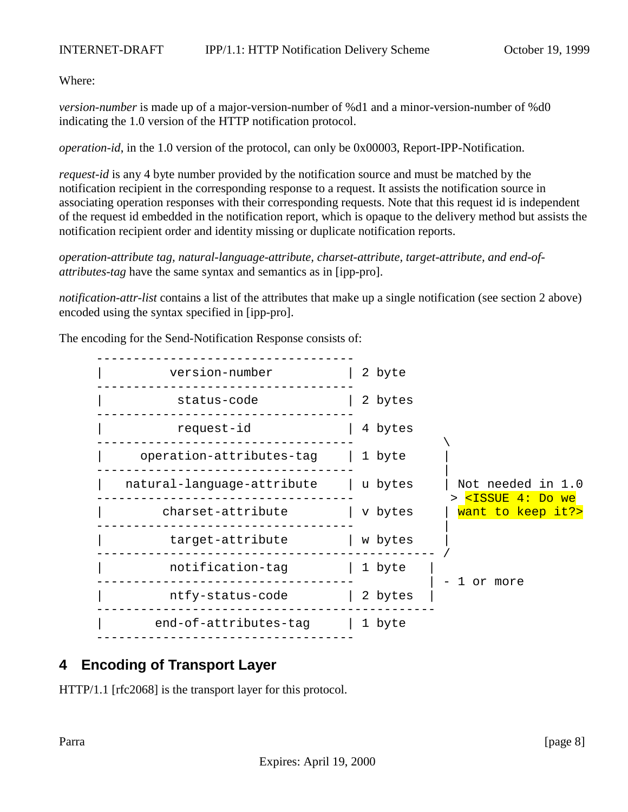<span id="page-7-0"></span>Where:

*version-number* is made up of a major-version-number of %d1 and a minor-version-number of %d0 indicating the 1.0 version of the HTTP notification protocol.

*operation-id*, in the 1.0 version of the protocol, can only be 0x00003, Report-IPP-Notification.

*request-id* is any 4 byte number provided by the notification source and must be matched by the notification recipient in the corresponding response to a request. It assists the notification source in associating operation responses with their corresponding requests. Note that this request id is independent of the request id embedded in the notification report, which is opaque to the delivery method but assists the notification recipient order and identity missing or duplicate notification reports.

*operation-attribute tag, natural-language-attribute, charset-attribute, target-attribute, and end-ofattributes-tag* have the same syntax and semantics as in [ipp-pro].

*notification-attr-list* contains a list of the attributes that make up a single notification (see section 2 above) encoded using the syntax specified in [ipp-pro].

The encoding for the Send-Notification Response consists of:



# **4 Encoding of Transport Layer**

HTTP/1.1 [rfc2068] is the transport layer for this protocol.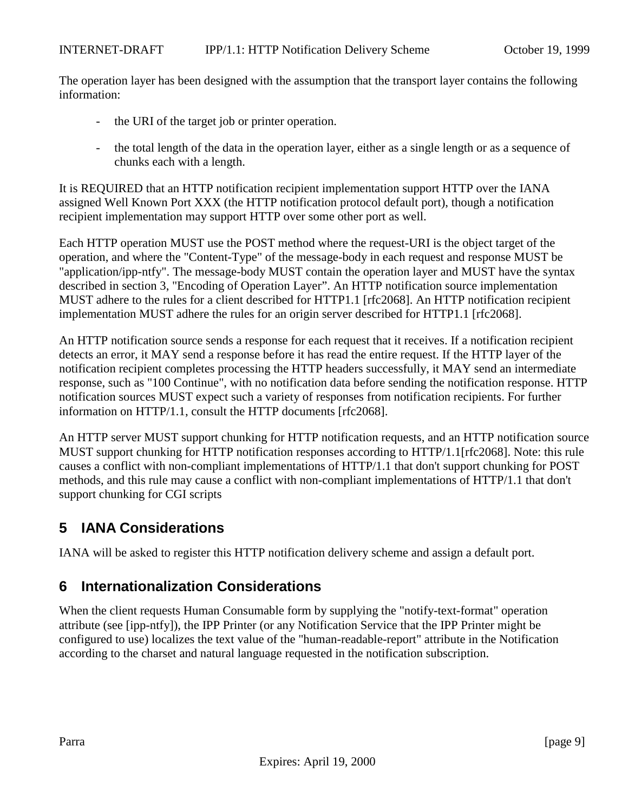<span id="page-8-0"></span>The operation layer has been designed with the assumption that the transport layer contains the following information:

- the URI of the target job or printer operation.
- the total length of the data in the operation layer, either as a single length or as a sequence of chunks each with a length.

It is REQUIRED that an HTTP notification recipient implementation support HTTP over the IANA assigned Well Known Port XXX (the HTTP notification protocol default port), though a notification recipient implementation may support HTTP over some other port as well.

Each HTTP operation MUST use the POST method where the request-URI is the object target of the operation, and where the "Content-Type" of the message-body in each request and response MUST be "application/ipp-ntfy". The message-body MUST contain the operation layer and MUST have the syntax described in section 3, "Encoding of Operation Layer". An HTTP notification source implementation MUST adhere to the rules for a client described for HTTP1.1 [rfc2068]. An HTTP notification recipient implementation MUST adhere the rules for an origin server described for HTTP1.1 [rfc2068].

An HTTP notification source sends a response for each request that it receives. If a notification recipient detects an error, it MAY send a response before it has read the entire request. If the HTTP layer of the notification recipient completes processing the HTTP headers successfully, it MAY send an intermediate response, such as "100 Continue", with no notification data before sending the notification response. HTTP notification sources MUST expect such a variety of responses from notification recipients. For further information on HTTP/1.1, consult the HTTP documents [rfc2068].

An HTTP server MUST support chunking for HTTP notification requests, and an HTTP notification source MUST support chunking for HTTP notification responses according to HTTP/1.1[rfc2068]. Note: this rule causes a conflict with non-compliant implementations of HTTP/1.1 that don't support chunking for POST methods, and this rule may cause a conflict with non-compliant implementations of HTTP/1.1 that don't support chunking for CGI scripts

# **5 IANA Considerations**

IANA will be asked to register this HTTP notification delivery scheme and assign a default port.

## **6 Internationalization Considerations**

When the client requests Human Consumable form by supplying the "notify-text-format" operation attribute (see [ipp-ntfy]), the IPP Printer (or any Notification Service that the IPP Printer might be configured to use) localizes the text value of the "human-readable-report" attribute in the Notification according to the charset and natural language requested in the notification subscription.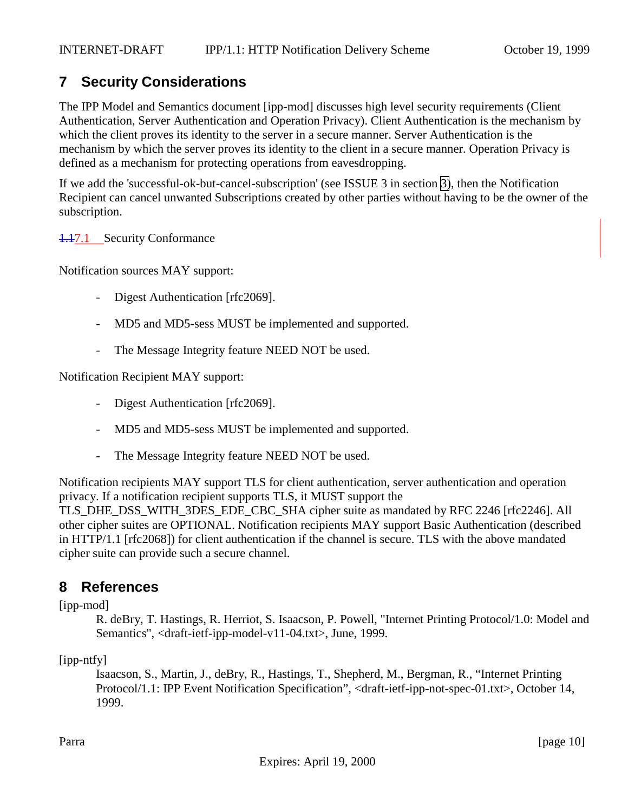# <span id="page-9-0"></span>**7 Security Considerations**

The IPP Model and Semantics document [ipp-mod] discusses high level security requirements (Client Authentication, Server Authentication and Operation Privacy). Client Authentication is the mechanism by which the client proves its identity to the server in a secure manner. Server Authentication is the mechanism by which the server proves its identity to the client in a secure manner. Operation Privacy is defined as a mechanism for protecting operations from eavesdropping.

If we add the 'successful-ok-but-cancel-subscription' (see ISSUE 3 in section [3\)](#page-6-0), then the Notification Recipient can cancel unwanted Subscriptions created by other parties without having to be the owner of the subscription.

1.17.1 Security Conformance

Notification sources MAY support:

- Digest Authentication [rfc2069].
- MD5 and MD5-sess MUST be implemented and supported.
- The Message Integrity feature NEED NOT be used.

Notification Recipient MAY support:

- Digest Authentication [rfc2069].
- MD5 and MD5-sess MUST be implemented and supported.
- The Message Integrity feature NEED NOT be used.

Notification recipients MAY support TLS for client authentication, server authentication and operation privacy. If a notification recipient supports TLS, it MUST support the TLS\_DHE\_DSS\_WITH\_3DES\_EDE\_CBC\_SHA cipher suite as mandated by RFC 2246 [rfc2246]. All other cipher suites are OPTIONAL. Notification recipients MAY support Basic Authentication (described in HTTP/1.1 [rfc2068]) for client authentication if the channel is secure. TLS with the above mandated cipher suite can provide such a secure channel.

### **8 References**

[ipp-mod]

R. deBry, T. Hastings, R. Herriot, S. Isaacson, P. Powell, "Internet Printing Protocol/1.0: Model and Semantics", <draft-ietf-ipp-model-v11-04.txt>, June, 1999.

[ipp-ntfy]

Isaacson, S., Martin, J., deBry, R., Hastings, T., Shepherd, M., Bergman, R., "Internet Printing Protocol/1.1: IPP Event Notification Specification", <draft-ietf-ipp-not-spec-01.txt>, October 14, 1999.